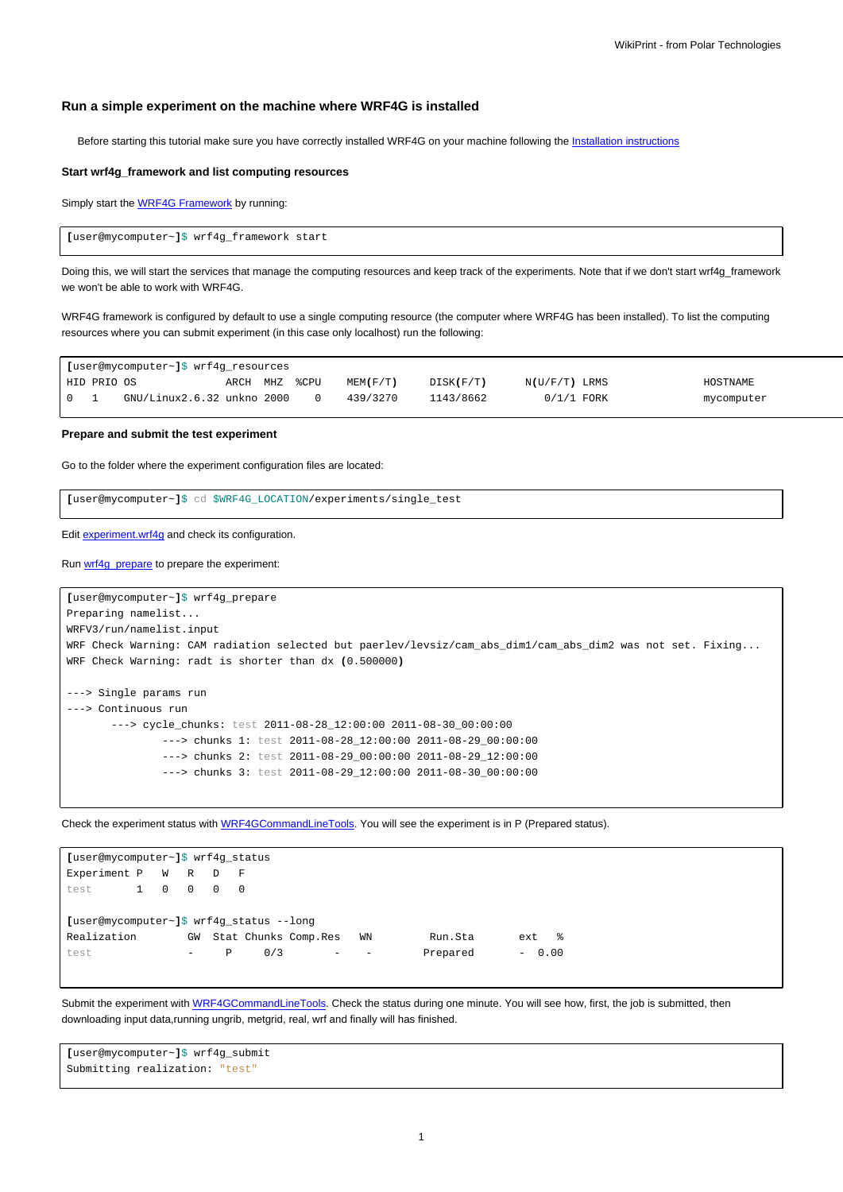## **Run a simple experiment on the machine where WRF4G is installed**

Before starting this tutorial make sure you have correctly installed WRF4G on your machine following the [Installation instructions](https://meteo.unican.es/trac/wiki/WRF4GInstall)

## **Start wrf4g\_framework and list computing resources**

Simply start the **WRF4G Framework** by running:

**[**user@mycomputer~**]**\$ wrf4g\_framework start

Doing this, we will start the services that manage the computing resources and keep track of the experiments. Note that if we don't start wrf4g\_framework we won't be able to work with WRF4G.

WRF4G framework is configured by default to use a single computing resource (the computer where WRF4G has been installed). To list the computing resources where you can submit experiment (in this case only localhost) run the following:

| [user@mycomputer~]\$ wrf4q resources   |             |                            |          |  |          |          |           |                 |  |            |
|----------------------------------------|-------------|----------------------------|----------|--|----------|----------|-----------|-----------------|--|------------|
|                                        | HID PRIO OS |                            | ARCH MHZ |  | %CPU     | MEM(F/T) | DISK(F/T) | $N(U/F/T)$ LRMS |  | HOSTNAME   |
| $\begin{array}{ccc} 0 & 1 \end{array}$ |             | GNU/Linux2.6.32 unkno 2000 |          |  | $\Omega$ | 439/3270 | 1143/8662 | $0/1/1$ FORK    |  | mycomputer |

**Prepare and submit the test experiment**

Go to the folder where the experiment configuration files are located:

**[**user@mycomputer~**]**\$ cd \$WRF4G\_LOCATION/experiments/single\_test

Edit [experiment.wrf4g](https://meteo.unican.es/trac/wiki/WRF4Gexperiment_wrf4g) and check its configuration.

Run [wrf4g\\_prepare](https://meteo.unican.es/trac/wiki/WRF4GCommandLineTools#wrf4g_prepare) to prepare the experiment:

```
[user@mycomputer~]$ wrf4g_prepare
Preparing namelist...
WRFV3/run/namelist.input
WRF Check Warning: CAM radiation selected but paerlev/levsiz/cam_abs_dim1/cam_abs_dim2 was not set. Fixing...
WRF Check Warning: radt is shorter than dx (0.500000)
---> Single params run
---> Continuous run
       ---> cycle_chunks: test 2011-08-28_12:00:00 2011-08-30_00:00:00
               ---> chunks 1: test 2011-08-28_12:00:00 2011-08-29_00:00:00
               ---> chunks 2: test 2011-08-29_00:00:00 2011-08-29_12:00:00
               ---> chunks 3: test 2011-08-29_12:00:00 2011-08-30_00:00:00
```
Check the experiment status with [WRF4GCommandLineTools](https://meteo.unican.es/trac/wiki/WRF4GCommandLineTools#wrf4g_status). You will see the experiment is in P (Prepared status).

| [user@mycomputer~]\$ wrf4q status        |  |         |       |                |     |                      |                          |                   |          |  |  |         |  |
|------------------------------------------|--|---------|-------|----------------|-----|----------------------|--------------------------|-------------------|----------|--|--|---------|--|
| Experiment P W R D F                     |  |         |       |                |     |                      |                          |                   |          |  |  |         |  |
| test                                     |  | 1 0 0 0 |       | $\overline{0}$ |     |                      |                          |                   |          |  |  |         |  |
|                                          |  |         |       |                |     |                      |                          |                   |          |  |  |         |  |
| [user@mycomputer~]\$ wrf4q status --lonq |  |         |       |                |     |                      |                          |                   |          |  |  |         |  |
| Realization                              |  |         | GW    |                |     | Stat Chunks Comp.Res |                          | WN                | Run.Sta  |  |  | ext %   |  |
| test                                     |  |         | $ \,$ | P              | 0/3 |                      | $\overline{\phantom{a}}$ | $\qquad \qquad -$ | Prepared |  |  | $-0.00$ |  |
|                                          |  |         |       |                |     |                      |                          |                   |          |  |  |         |  |

Submit the experiment with [WRF4GCommandLineTools](https://meteo.unican.es/trac/wiki/WRF4GCommandLineTools#wrf4g_submit). Check the status during one minute. You will see how, first, the job is submitted, then downloading input data,running ungrib, metgrid, real, wrf and finally will has finished.

**[**user@mycomputer~**]**\$ wrf4g\_submit Submitting realization: "test"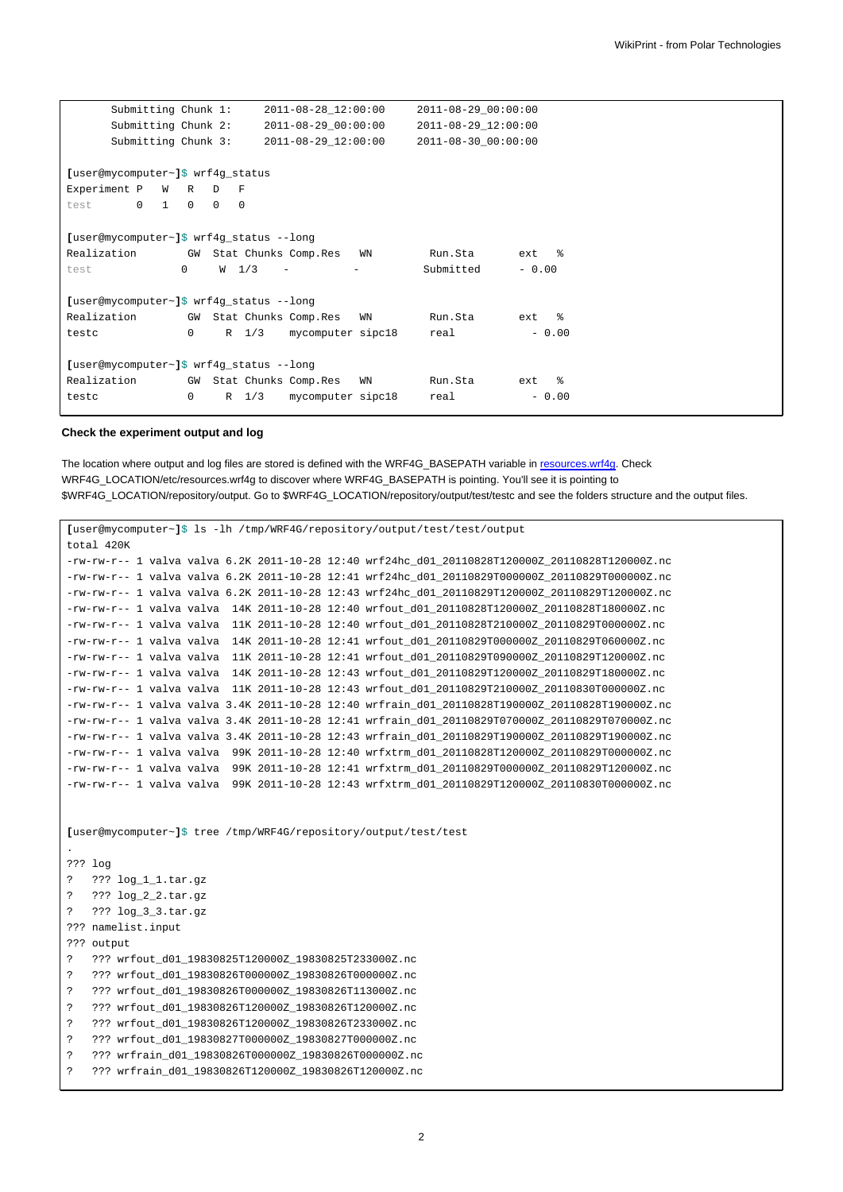| Submitting Chunk 1:                      |              | 2011-08-28_12:00:00 |                  | 2011-08-29_00:00:00     |                   |                                            |                  |  |  |  |
|------------------------------------------|--------------|---------------------|------------------|-------------------------|-------------------|--------------------------------------------|------------------|--|--|--|
| Submitting Chunk 2:                      |              |                     |                  | 2011-08-29_00:00:00     |                   | 2011-08-29_12:00:00<br>2011-08-30 00:00:00 |                  |  |  |  |
| Submitting Chunk 3:                      |              |                     |                  | 2011-08-29 12:00:00     |                   |                                            |                  |  |  |  |
|                                          |              |                     |                  |                         |                   |                                            |                  |  |  |  |
| [user@mycomputer~]\$ wrf4g_status        |              |                     |                  |                         |                   |                                            |                  |  |  |  |
| Experiment P W R                         |              | $\mathbb{D}$        | $_{\rm F}$       |                         |                   |                                            |                  |  |  |  |
| $\mathbf 0$<br>1<br>test                 | $\mathbf{0}$ | $\circ$             | $\mathbf 0$      |                         |                   |                                            |                  |  |  |  |
|                                          |              |                     |                  |                         |                   |                                            |                  |  |  |  |
| [user@mycomputer~]\$ wrf4g_status --long |              |                     |                  |                         |                   |                                            |                  |  |  |  |
| Realization                              |              |                     |                  | GW Stat Chunks Comp.Res | WN                | Run.Sta                                    | $ext$ $%$        |  |  |  |
| test                                     | $\mathbf{0}$ |                     | W <sub>1/3</sub> | $\qquad \qquad -$       | $\qquad \qquad -$ | Submitted                                  | $-0.00$          |  |  |  |
|                                          |              |                     |                  |                         |                   |                                            |                  |  |  |  |
| [user@mycomputer~]\$ wrf4g_status --long |              |                     |                  |                         |                   |                                            |                  |  |  |  |
| Realization                              |              |                     |                  | GW Stat Chunks Comp.Res | WN                | Run.Sta                                    | ext<br>$\approx$ |  |  |  |
| testc                                    | $\Omega$     |                     | $R$ 1/3          | mycomputer sipc18       |                   | real                                       | $-0.00$          |  |  |  |
|                                          |              |                     |                  |                         |                   |                                            |                  |  |  |  |
| [user@mycomputer~]\$ wrf4g_status --long |              |                     |                  |                         |                   |                                            |                  |  |  |  |
| Realization                              |              |                     |                  | GW Stat Chunks Comp.Res | WN                | Run.Sta                                    | ႜၟ<br>ext        |  |  |  |
| testc                                    | 0            |                     | $R$ 1/3          | mycomputer sipc18       |                   | real                                       | $-0.00$          |  |  |  |
|                                          |              |                     |                  |                         |                   |                                            |                  |  |  |  |

## **Check the experiment output and log**

The location where output and log files are stored is defined with the WRF4G\_BASEPATH variable in [resources.wrf4g.](https://meteo.unican.es/trac/wiki/WRF4Gresources_wrf4g) Check WRF4G\_LOCATION/etc/resources.wrf4g to discover where WRF4G\_BASEPATH is pointing. You'll see it is pointing to \$WRF4G\_LOCATION/repository/output. Go to \$WRF4G\_LOCATION/repository/output/test/testc and see the folders structure and the output files.

```
[user@mycomputer~]$ ls -lh /tmp/WRF4G/repository/output/test/test/output
total 420K
-rw-rw-r-- 1 valva valva 6.2K 2011-10-28 12:40 wrf24hc_d01_20110828T120000Z_20110828T120000Z.nc
-rw-rw-r-- 1 valva valva 6.2K 2011-10-28 12:41 wrf24hc_d01_20110829T000000Z_20110829T000000Z.nc
-rw-rw-r-- 1 valva valva 6.2K 2011-10-28 12:43 wrf24hc_d01_20110829T120000Z_20110829T120000Z.nc
-rw-rw-r-- 1 valva valva 14K 2011-10-28 12:40 wrfout_d01_20110828T120000Z_20110828T180000Z.nc
-rw-rw-r-- 1 valva valva 11K 2011-10-28 12:40 wrfout_d01_20110828T210000Z_20110829T000000Z.nc
-rw-rw-r-- 1 valva valva 14K 2011-10-28 12:41 wrfout_d01_20110829T000000Z_20110829T060000Z.nc
-rw-rw-r-- 1 valva valva 11K 2011-10-28 12:41 wrfout_d01_20110829T090000Z_20110829T120000Z.nc
-rw-rw-r-- 1 valva valva 14K 2011-10-28 12:43 wrfout_d01_20110829T120000Z_20110829T180000Z.nc
-rw-rw-r-- 1 valva valva 11K 2011-10-28 12:43 wrfout_d01_20110829T210000Z_20110830T000000Z.nc
-rw-rw-r-- 1 valva valva 3.4K 2011-10-28 12:40 wrfrain_d01_20110828T190000Z_20110828T190000Z.nc
-rw-rw-r-- 1 valva valva 3.4K 2011-10-28 12:41 wrfrain_d01_20110829T070000Z_20110829T070000Z.nc
-rw-rw-r-- 1 valva valva 3.4K 2011-10-28 12:43 wrfrain_d01_20110829T190000Z_20110829T190000Z.nc
-rw-rw-r-- 1 valva valva 99K 2011-10-28 12:40 wrfxtrm_d01_20110828T120000Z_20110829T000000Z.nc
-rw-rw-r-- 1 valva valva 99K 2011-10-28 12:41 wrfxtrm_d01_20110829T000000Z_20110829T120000Z.nc
-rw-rw-r-- 1 valva valva 99K 2011-10-28 12:43 wrfxtrm_d01_20110829T120000Z_20110830T000000Z.nc
[user@mycomputer~]$ tree /tmp/WRF4G/repository/output/test/test
.
??? log
? ??? log_1_1.tar.gz
? ??? log_2_2.tar.gz
? ??? log_3_3.tar.gz
??? namelist.input
??? output
? ??? wrfout_d01_19830825T120000Z_19830825T233000Z.nc
? ??? wrfout_d01_19830826T000000Z_19830826T000000Z.nc
? ??? wrfout_d01_19830826T000000Z_19830826T113000Z.nc
? ??? wrfout_d01_19830826T120000Z_19830826T120000Z.nc
? ??? wrfout_d01_19830826T120000Z_19830826T233000Z.nc
? ??? wrfout_d01_19830827T000000Z_19830827T000000Z.nc
? ??? wrfrain_d01_19830826T000000Z_19830826T000000Z.nc
? ??? wrfrain_d01_19830826T120000Z_19830826T120000Z.nc
```